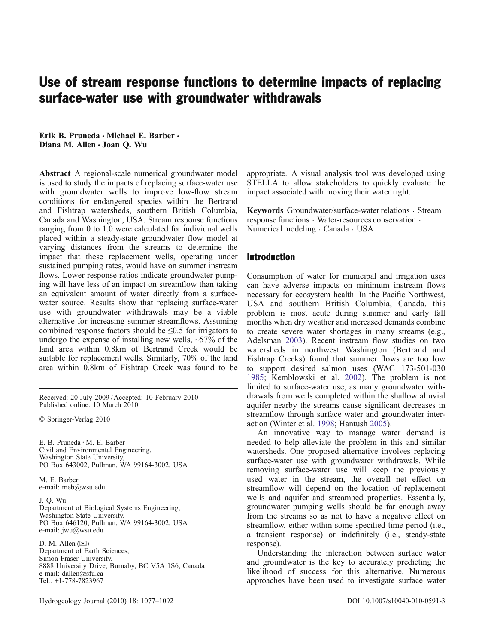# Use of stream response functions to determine impacts of replacing surface-water use with groundwater withdrawals

Erik B. Pruneda  $\cdot$  Michael E. Barber  $\cdot$ Diana M. Allen · Joan O. Wu

Abstract A regional-scale numerical groundwater model is used to study the impacts of replacing surface-water use with groundwater wells to improve low-flow stream conditions for endangered species within the Bertrand and Fishtrap watersheds, southern British Columbia, Canada and Washington, USA. Stream response functions ranging from 0 to 1.0 were calculated for individual wells placed within a steady-state groundwater flow model at varying distances from the streams to determine the impact that these replacement wells, operating under sustained pumping rates, would have on summer instream flows. Lower response ratios indicate groundwater pumping will have less of an impact on streamflow than taking an equivalent amount of water directly from a surfacewater source. Results show that replacing surface-water use with groundwater withdrawals may be a viable alternative for increasing summer streamflows. Assuming combined response factors should be ≤0.5 for irrigators to undergo the expense of installing new wells,  $\sim$ 57% of the land area within 0.8km of Bertrand Creek would be suitable for replacement wells. Similarly, 70% of the land area within 0.8km of Fishtrap Creek was found to be

Received: 20 July 2009 /Accepted: 10 February 2010 Published online: 10 March 2010

 $©$  Springer-Verlag 2010

E. B. Pruneda : M. E. Barber Civil and Environmental Engineering, Washington State University, PO Box 643002, Pullman, WA 99164-3002, USA

M. E. Barber e-mail: meb@wsu.edu

J. Q. Wu Department of Biological Systems Engineering, Washington State University, PO Box 646120, Pullman, WA 99164-3002, USA e-mail: jwu@wsu.edu

D. M. Allen  $(\mathbb{Z})$ Department of Earth Sciences, Simon Fraser University, 8888 University Drive, Burnaby, BC V5A 1S6, Canada e-mail: dallen@sfu.ca Tel.: +1-778-7823967

appropriate. A visual analysis tool was developed using STELLA to allow stakeholders to quickly evaluate the impact associated with moving their water right.

Keywords Groundwater/surface-water relations . Stream response functions . Water-resources conservation . Numerical modeling . Canada . USA

# Introduction

Consumption of water for municipal and irrigation uses can have adverse impacts on minimum instream flows necessary for ecosystem health. In the Pacific Northwest, USA and southern British Columbia, Canada, this problem is most acute during summer and early fall months when dry weather and increased demands combine to create severe water shortages in many streams (e.g., Adelsman [2003\)](#page-14-0). Recent instream flow studies on two watersheds in northwest Washington (Bertrand and Fishtrap Creeks) found that summer flows are too low to support desired salmon uses (WAC 173-501-030 [1985](#page-15-0); Kemblowski et al. [2002\)](#page-14-0). The problem is not limited to surface-water use, as many groundwater withdrawals from wells completed within the shallow alluvial aquifer nearby the streams cause significant decreases in streamflow through surface water and groundwater interaction (Winter et al. [1998;](#page-15-0) Hantush [2005\)](#page-14-0).

An innovative way to manage water demand is needed to help alleviate the problem in this and similar watersheds. One proposed alternative involves replacing surface-water use with groundwater withdrawals. While removing surface-water use will keep the previously used water in the stream, the overall net effect on streamflow will depend on the location of replacement wells and aquifer and streambed properties. Essentially, groundwater pumping wells should be far enough away from the streams so as not to have a negative effect on streamflow, either within some specified time period (i.e., a transient response) or indefinitely (i.e., steady-state response).

Understanding the interaction between surface water and groundwater is the key to accurately predicting the likelihood of success for this alternative. Numerous approaches have been used to investigate surface water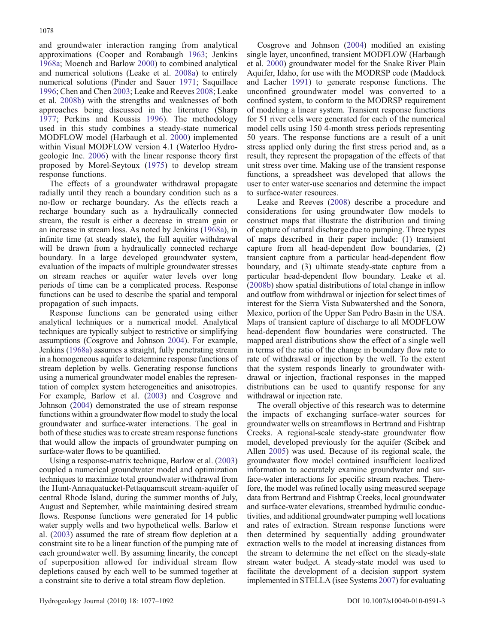and groundwater interaction ranging from analytical approximations (Cooper and Rorabaugh [1963;](#page-14-0) Jenkins [1968a;](#page-14-0) Moench and Barlow [2000\)](#page-14-0) to combined analytical and numerical solutions (Leake et al. [2008a](#page-14-0)) to entirely numerical solutions (Pinder and Sauer [1971](#page-14-0); Saquillace [1996](#page-15-0); Chen and Chen [2003;](#page-14-0) Leake and Reeves [2008;](#page-14-0) Leake et al. [2008b](#page-14-0)) with the strengths and weaknesses of both approaches being discussed in the literature (Sharp [1977](#page-15-0); Perkins and Koussis [1996\)](#page-14-0). The methodology used in this study combines a steady-state numerical MODFLOW model (Harbaugh et al. [2000](#page-14-0)) implemented within Visual MODFLOW version 4.1 (Waterloo Hydrogeologic Inc. [2006](#page-15-0)) with the linear response theory first proposed by Morel-Seytoux [\(1975](#page-14-0)) to develop stream response functions.

The effects of a groundwater withdrawal propagate radially until they reach a boundary condition such as a no-flow or recharge boundary. As the effects reach a recharge boundary such as a hydraulically connected stream, the result is either a decrease in stream gain or an increase in stream loss. As noted by Jenkins ([1968a](#page-14-0)), in infinite time (at steady state), the full aquifer withdrawal will be drawn from a hydraulically connected recharge boundary. In a large developed groundwater system, evaluation of the impacts of multiple groundwater stresses on stream reaches or aquifer water levels over long periods of time can be a complicated process. Response functions can be used to describe the spatial and temporal propagation of such impacts.

Response functions can be generated using either analytical techniques or a numerical model. Analytical techniques are typically subject to restrictive or simplifying assumptions (Cosgrove and Johnson [2004\)](#page-14-0). For example, Jenkins ([1968a\)](#page-14-0) assumes a straight, fully penetrating stream in a homogeneous aquifer to determine response functions of stream depletion by wells. Generating response functions using a numerical groundwater model enables the representation of complex system heterogeneities and anisotropies. For example, Barlow et al. ([2003](#page-14-0)) and Cosgrove and Johnson ([2004](#page-14-0)) demonstrated the use of stream response functions within a groundwater flow model to study the local groundwater and surface-water interactions. The goal in both of these studies was to create stream response functions that would allow the impacts of groundwater pumping on surface-water flows to be quantified.

Using a response-matrix technique, Barlow et al. ([2003\)](#page-14-0) coupled a numerical groundwater model and optimization techniques to maximize total groundwater withdrawal from the Hunt-Annaquatucket-Pettaquamscutt stream-aquifer of central Rhode Island, during the summer months of July, August and September, while maintaining desired stream flows. Response functions were generated for 14 public water supply wells and two hypothetical wells. Barlow et al. [\(2003](#page-14-0)) assumed the rate of stream flow depletion at a constraint site to be a linear function of the pumping rate of each groundwater well. By assuming linearity, the concept of superposition allowed for individual stream flow depletions caused by each well to be summed together at a constraint site to derive a total stream flow depletion.

Cosgrove and Johnson ([2004\)](#page-14-0) modified an existing single layer, unconfined, transient MODFLOW (Harbaugh et al. [2000](#page-14-0)) groundwater model for the Snake River Plain Aquifer, Idaho, for use with the MODRSP code (Maddock and Lacher [1991](#page-14-0)) to generate response functions. The unconfined groundwater model was converted to a confined system, to conform to the MODRSP requirement of modeling a linear system. Transient response functions for 51 river cells were generated for each of the numerical model cells using 150 4-month stress periods representing 50 years. The response functions are a result of a unit stress applied only during the first stress period and, as a result, they represent the propagation of the effects of that unit stress over time. Making use of the transient response functions, a spreadsheet was developed that allows the user to enter water-use scenarios and determine the impact to surface-water resources.

Leake and Reeves ([2008\)](#page-14-0) describe a procedure and considerations for using groundwater flow models to construct maps that illustrate the distribution and timing of capture of natural discharge due to pumping. Three types of maps described in their paper include: (1) transient capture from all head-dependent flow boundaries, (2) transient capture from a particular head-dependent flow boundary, and (3) ultimate steady-state capture from a particular head-dependent flow boundary. Leake et al. ([2008b\)](#page-14-0) show spatial distributions of total change in inflow and outflow from withdrawal or injection for select times of interest for the Sierra Vista Subwatershed and the Sonora, Mexico, portion of the Upper San Pedro Basin in the USA. Maps of transient capture of discharge to all MODFLOW head-dependent flow boundaries were constructed. The mapped areal distributions show the effect of a single well in terms of the ratio of the change in boundary flow rate to rate of withdrawal or injection by the well. To the extent that the system responds linearly to groundwater withdrawal or injection, fractional responses in the mapped distributions can be used to quantify response for any withdrawal or injection rate.

The overall objective of this research was to determine the impacts of exchanging surface-water sources for groundwater wells on streamflows in Bertrand and Fishtrap Creeks. A regional-scale steady-state groundwater flow model, developed previously for the aquifer (Scibek and Allen [2005](#page-15-0)) was used. Because of its regional scale, the groundwater flow model contained insufficient localized information to accurately examine groundwater and surface-water interactions for specific stream reaches. Therefore, the model was refined locally using measured seepage data from Bertrand and Fishtrap Creeks, local groundwater and surface-water elevations, streambed hydraulic conductivities, and additional groundwater pumping well locations and rates of extraction. Stream response functions were then determined by sequentially adding groundwater extraction wells to the model at increasing distances from the stream to determine the net effect on the steady-state stream water budget. A steady-state model was used to facilitate the development of a decision support system implemented in STELLA (isee Systems [2007\)](#page-14-0) for evaluating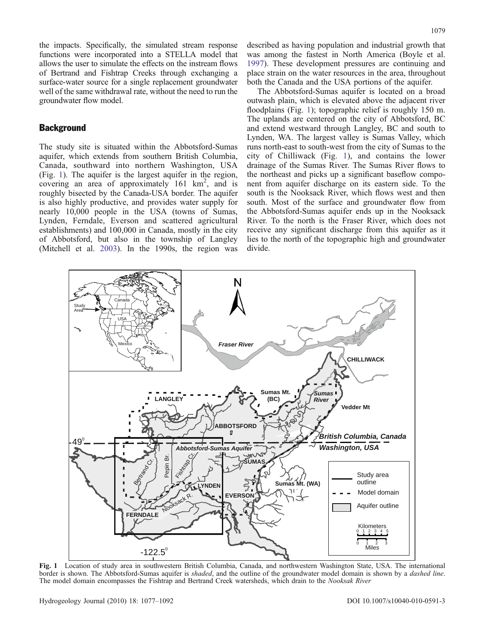<span id="page-2-0"></span>the impacts. Specifically, the simulated stream response functions were incorporated into a STELLA model that allows the user to simulate the effects on the instream flows of Bertrand and Fishtrap Creeks through exchanging a surface-water source for a single replacement groundwater well of the same withdrawal rate, without the need to run the groundwater flow model.

# **Background**

The study site is situated within the Abbotsford-Sumas aquifer, which extends from southern British Columbia, Canada, southward into northern Washington, USA (Fig. 1). The aquifer is the largest aquifer in the region, covering an area of approximately  $161 \text{ km}^2$ , and is roughly bisected by the Canada-USA border. The aquifer is also highly productive, and provides water supply for nearly 10,000 people in the USA (towns of Sumas, Lynden, Ferndale, Everson and scattered agricultural establishments) and 100,000 in Canada, mostly in the city of Abbotsford, but also in the township of Langley (Mitchell et al. [2003\)](#page-14-0). In the 1990s, the region was

described as having population and industrial growth that was among the fastest in North America (Boyle et al. [1997](#page-14-0)). These development pressures are continuing and place strain on the water resources in the area, throughout both the Canada and the USA portions of the aquifer.

The Abbotsford-Sumas aquifer is located on a broad outwash plain, which is elevated above the adjacent river floodplains (Fig. 1); topographic relief is roughly 150 m. The uplands are centered on the city of Abbotsford, BC and extend westward through Langley, BC and south to Lynden, WA. The largest valley is Sumas Valley, which runs north-east to south-west from the city of Sumas to the city of Chilliwack (Fig. 1), and contains the lower drainage of the Sumas River. The Sumas River flows to the northeast and picks up a significant baseflow component from aquifer discharge on its eastern side. To the south is the Nooksack River, which flows west and then south. Most of the surface and groundwater flow from the Abbotsford-Sumas aquifer ends up in the Nooksack River. To the north is the Fraser River, which does not receive any significant discharge from this aquifer as it lies to the north of the topographic high and groundwater divide.



Fig. 1 Location of study area in southwestern British Columbia, Canada, and northwestern Washington State, USA. The international border is shown. The Abbotsford-Sumas aquifer is *shaded*, and the outline of the groundwater model domain is shown by a *dashed line*. The model domain encompasses the Fishtrap and Bertrand Creek watersheds, which drain to the Nooksak River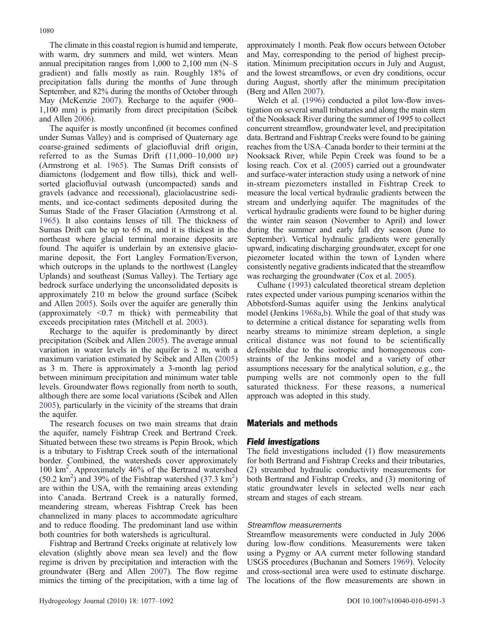The climate in this coastal region is humid and temperate, with warm, dry summers and mild, wet winters. Mean annual precipitation ranges from 1,000 to 2,100 mm (N–S gradient) and falls mostly as rain. Roughly 18% of precipitation falls during the months of June through September, and 82% during the months of October through May (McKenzie [2007](#page-14-0)). Recharge to the aquifer (900– 1,100 mm) is primarily from direct precipitation (Scibek and Allen [2006\)](#page-15-0).

The aquifer is mostly unconfined (it becomes confined under Sumas Valley) and is comprised of Quaternary age coarse-grained sediments of glaciofluvial drift origin, referred to as the Sumas Drift  $(11,000-10,000$  BP) (Armstrong et al. [1965](#page-14-0)). The Sumas Drift consists of diamictons (lodgement and flow tills), thick and wellsorted glaciofluvial outwash (uncompacted) sands and gravels (advance and recessional), glaciolacustrine sediments, and ice-contact sediments deposited during the Sumas Stade of the Fraser Glaciation (Armstrong et al. [1965](#page-14-0)). It also contains lenses of till. The thickness of Sumas Drift can be up to 65 m, and it is thickest in the northeast where glacial terminal moraine deposits are found. The aquifer is underlain by an extensive glaciomarine deposit, the Fort Langley Formation/Everson, which outcrops in the uplands to the northwest (Langley Uplands) and southeast (Sumas Valley). The Tertiary age bedrock surface underlying the unconsolidated deposits is approximately 210 m below the ground surface (Scibek and Allen [2005\)](#page-15-0). Soils over the aquifer are generally thin (approximately  $\leq 0.7$  m thick) with permeability that exceeds precipitation rates (Mitchell et al. [2003\)](#page-14-0).

Recharge to the aquifer is predominantly by direct precipitation (Scibek and Allen [2005\)](#page-15-0). The average annual variation in water levels in the aquifer is 2 m, with a maximum variation estimated by Scibek and Allen ([2005\)](#page-15-0) as 3 m. There is approximately a 3-month lag period between minimum precipitation and minimum water table levels. Groundwater flows regionally from north to south, although there are some local variations (Scibek and Allen [2005](#page-15-0)), particularly in the vicinity of the streams that drain the aquifer.

The research focuses on two main streams that drain the aquifer, namely Fishtrap Creek and Bertrand Creek. Situated between these two streams is Pepin Brook, which is a tributary to Fishtrap Creek south of the international border. Combined, the watersheds cover approximately 100 km2 . Approximately 46% of the Bertrand watershed  $(50.2 \text{ km}^2)$  and 39% of the Fishtrap watershed  $(37.3 \text{ km}^2)$ are within the USA, with the remaining areas extending into Canada. Bertrand Creek is a naturally formed, meandering stream, whereas Fishtrap Creek has been channelized in many places to accommodate agriculture and to reduce flooding. The predominant land use within both countries for both watersheds is agricultural.

Fishtrap and Bertrand Creeks originate at relatively low elevation (slightly above mean sea level) and the flow regime is driven by precipitation and interaction with the groundwater (Berg and Allen [2007](#page-14-0)). The flow regime mimics the timing of the precipitation, with a time lag of

itation. Minimum precipitation occurs in July and August, and the lowest streamflows, or even dry conditions, occur during August, shortly after the minimum precipitation (Berg and Allen [2007](#page-14-0)). Welch et al. ([1996\)](#page-15-0) conducted a pilot low-flow inves-

tigation on several small tributaries and along the main stem of the Nooksack River during the summer of 1995 to collect concurrent streamflow, groundwater level, and precipitation data. Bertrand and Fishtrap Creeks were found to be gaining reaches from the USA–Canada border to their termini at the Nooksack River, while Pepin Creek was found to be a losing reach. Cox et al. ([2005\)](#page-14-0) carried out a groundwater and surface-water interaction study using a network of nine in-stream piezometers installed in Fishtrap Creek to measure the local vertical hydraulic gradients between the stream and underlying aquifer. The magnitudes of the vertical hydraulic gradients were found to be higher during the winter rain season (November to April) and lower during the summer and early fall dry season (June to September). Vertical hydraulic gradients were generally upward, indicating discharging groundwater, except for one piezometer located within the town of Lynden where consistently negative gradients indicated that the streamflow was recharging the groundwater (Cox et al. [2005](#page-14-0)).

approximately 1 month. Peak flow occurs between October and May, corresponding to the period of highest precip-

Culhane ([1993](#page-14-0)) calculated theoretical stream depletion rates expected under various pumping scenarios within the Abbotsford-Sumas aquifer using the Jenkins analytical model (Jenkins [1968a,b\)](#page-14-0). While the goal of that study was to determine a critical distance for separating wells from nearby streams to minimize stream depletion, a single critical distance was not found to be scientifically defensible due to the isotropic and homogeneous constraints of the Jenkins model and a variety of other assumptions necessary for the analytical solution, e.g., the pumping wells are not commonly open to the full saturated thickness. For these reasons, a numerical approach was adopted in this study.

# Materials and methods

# Field investigations

The field investigations included (1) flow measurements for both Bertrand and Fishtrap Creeks and their tributaries, (2) streambed hydraulic conductivity measurements for both Bertrand and Fishtrap Creeks, and (3) monitoring of static groundwater levels in selected wells near each stream and stages of each stream.

# Streamflow measurements

Streamflow measurements were conducted in July 2006 during low-flow conditions. Measurements were taken using a Pygmy or AA current meter following standard USGS procedures (Buchanan and Somers [1969](#page-14-0)). Velocity and cross-sectional area were used to estimate discharge. The locations of the flow measurements are shown in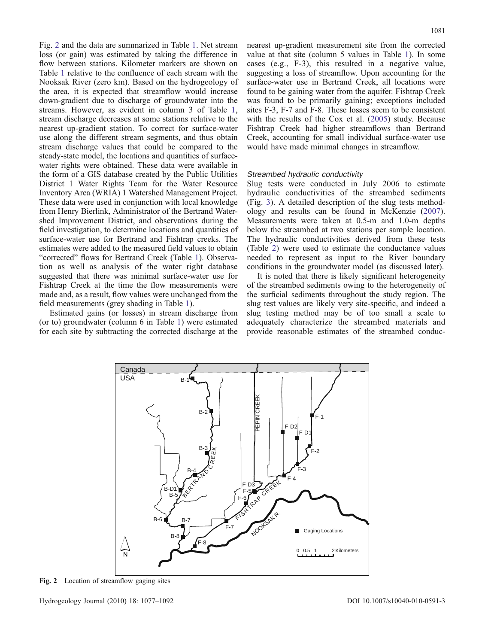Fig. 2 and the data are summarized in Table [1](#page-5-0). Net stream loss (or gain) was estimated by taking the difference in flow between stations. Kilometer markers are shown on Table [1](#page-5-0) relative to the confluence of each stream with the Nooksak River (zero km). Based on the hydrogeology of the area, it is expected that streamflow would increase down-gradient due to discharge of groundwater into the streams. However, as evident in column 3 of Table [1](#page-5-0), stream discharge decreases at some stations relative to the nearest up-gradient station. To correct for surface-water use along the different stream segments, and thus obtain stream discharge values that could be compared to the steady-state model, the locations and quantities of surfacewater rights were obtained. These data were available in the form of a GIS database created by the Public Utilities District 1 Water Rights Team for the Water Resource Inventory Area (WRIA) 1 Watershed Management Project. These data were used in conjunction with local knowledge from Henry Bierlink, Administrator of the Bertrand Watershed Improvement District, and observations during the field investigation, to determine locations and quantities of surface-water use for Bertrand and Fishtrap creeks. The estimates were added to the measured field values to obtain "corrected" flows for Bertrand Creek (Table [1](#page-5-0)). Observation as well as analysis of the water right database suggested that there was minimal surface-water use for Fishtrap Creek at the time the flow measurements were made and, as a result, flow values were unchanged from the field measurements (grey shading in Table [1\)](#page-5-0).

Estimated gains (or losses) in stream discharge from (or to) groundwater (column 6 in Table [1\)](#page-5-0) were estimated for each site by subtracting the corrected discharge at the nearest up-gradient measurement site from the corrected value at that site (column 5 values in Table [1](#page-5-0)). In some cases (e.g., F-3), this resulted in a negative value, suggesting a loss of streamflow. Upon accounting for the surface-water use in Bertrand Creek, all locations were found to be gaining water from the aquifer. Fishtrap Creek was found to be primarily gaining; exceptions included sites F-3, F-7 and F-8. These losses seem to be consistent with the results of the Cox et al. [\(2005](#page-14-0)) study. Because Fishtrap Creek had higher streamflows than Bertrand Creek, accounting for small individual surface-water use would have made minimal changes in streamflow.

# Streambed hydraulic conductivity

Slug tests were conducted in July 2006 to estimate hydraulic conductivities of the streambed sediments (Fig. [3](#page-5-0)). A detailed description of the slug tests methodology and results can be found in McKenzie [\(2007](#page-14-0)). Measurements were taken at 0.5-m and 1.0-m depths below the streambed at two stations per sample location. The hydraulic conductivities derived from these tests (Table [2](#page-6-0)) were used to estimate the conductance values needed to represent as input to the River boundary conditions in the groundwater model (as discussed later).

It is noted that there is likely significant heterogeneity of the streambed sediments owing to the heterogeneity of the surficial sediments throughout the study region. The slug test values are likely very site-specific, and indeed a slug testing method may be of too small a scale to adequately characterize the streambed materials and provide reasonable estimates of the streambed conduc-



Fig. 2 Location of streamflow gaging sites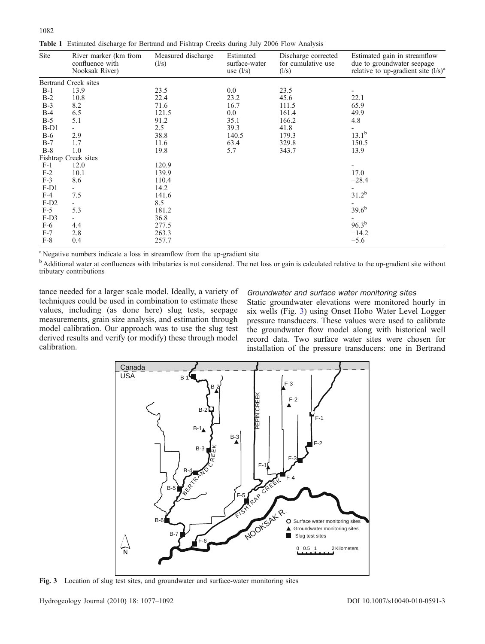|  |  |  | Table 1 Estimated discharge for Bertrand and Fishtrap Creeks during July 2006 Flow Analysis |
|--|--|--|---------------------------------------------------------------------------------------------|
|  |  |  |                                                                                             |

<span id="page-5-0"></span>1082

| Site   | River marker (km from<br>confluence with<br>Nooksak River) | Measured discharge<br>(1/s) | Estimated<br>surface-water<br>use $(l/s)$ | Discharge corrected<br>for cumulative use<br>$\frac{1}{s}$ | Estimated gain in streamflow<br>due to groundwater seepage<br>relative to up-gradient site $(1/s)^{a}$ |
|--------|------------------------------------------------------------|-----------------------------|-------------------------------------------|------------------------------------------------------------|--------------------------------------------------------------------------------------------------------|
|        | Bertrand Creek sites                                       |                             |                                           |                                                            |                                                                                                        |
| $B-1$  | 13.9                                                       | 23.5                        | 0.0                                       | 23.5                                                       |                                                                                                        |
| $B-2$  | 10.8                                                       | 22.4                        | 23.2                                      | 45.6                                                       | 22.1                                                                                                   |
| $B-3$  | 8.2                                                        | 71.6                        | 16.7                                      | 111.5                                                      | 65.9                                                                                                   |
| $B-4$  | 6.5                                                        | 121.5                       | 0.0                                       | 161.4                                                      | 49.9                                                                                                   |
| $B-5$  | 5.1                                                        | 91.2                        | 35.1                                      | 166.2                                                      | 4.8                                                                                                    |
| $B-D1$ |                                                            | 2.5                         | 39.3                                      | 41.8                                                       |                                                                                                        |
| $B-6$  | 2.9                                                        | 38.8                        | 140.5                                     | 179.3                                                      | $13.1^{\rm b}$                                                                                         |
| $B-7$  | 1.7                                                        | 11.6                        | 63.4                                      | 329.8                                                      | 150.5                                                                                                  |
| $B-8$  | 1.0                                                        | 19.8                        | 5.7                                       | 343.7                                                      | 13.9                                                                                                   |
|        | Fishtrap Creek sites                                       |                             |                                           |                                                            |                                                                                                        |
| $F-1$  | 12.0                                                       | 120.9                       |                                           |                                                            |                                                                                                        |
| $F-2$  | 10.1                                                       | 139.9                       |                                           |                                                            | 17.0                                                                                                   |
| $F-3$  | 8.6                                                        | 110.4                       |                                           |                                                            | $-28.4$                                                                                                |
| $F-D1$ |                                                            | 14.2                        |                                           |                                                            |                                                                                                        |
| $F-4$  | 7.5                                                        | 141.6                       |                                           |                                                            | $31.2^{b}$                                                                                             |
| $F-D2$ | $\overline{\phantom{0}}$                                   | 8.5                         |                                           |                                                            |                                                                                                        |
| $F-5$  | 5.3                                                        | 181.2                       |                                           |                                                            | $39.6^{b}$                                                                                             |
| $F-D3$ |                                                            | 36.8                        |                                           |                                                            |                                                                                                        |
| $F-6$  | 4.4                                                        | 277.5                       |                                           |                                                            | $96.3^{b}$                                                                                             |
| $F-7$  | 2.8                                                        | 263.3                       |                                           |                                                            | $-14.2$                                                                                                |
| $F-8$  | 0.4                                                        | 257.7                       |                                           |                                                            | $-5.6$                                                                                                 |

<sup>a</sup> Negative numbers indicate a loss in streamflow from the up-gradient site

<sup>b</sup> Additional water at confluences with tributaries is not considered. The net loss or gain is calculated relative to the up-gradient site without tributary contributions

tance needed for a larger scale model. Ideally, a variety of techniques could be used in combination to estimate these values, including (as done here) slug tests, seepage measurements, grain size analysis, and estimation through model calibration. Our approach was to use the slug test derived results and verify (or modify) these through model calibration.

# Groundwater and surface water monitoring sites

Static groundwater elevations were monitored hourly in six wells (Fig. 3) using Onset Hobo Water Level Logger pressure transducers. These values were used to calibrate the groundwater flow model along with historical well record data. Two surface water sites were chosen for installation of the pressure transducers: one in Bertrand



Fig. 3 Location of slug test sites, and groundwater and surface-water monitoring sites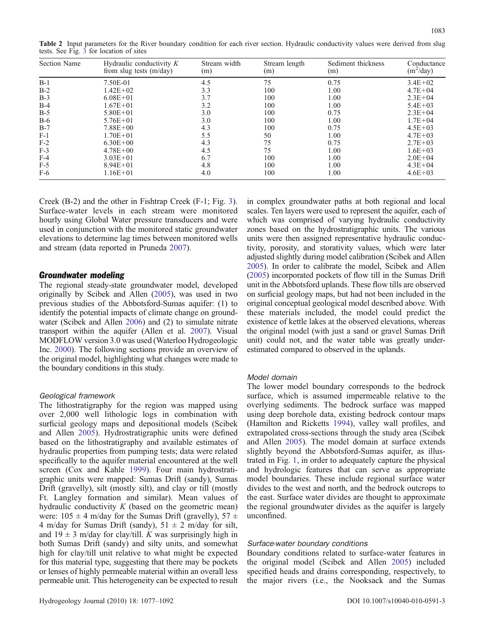<span id="page-6-0"></span>Table 2 Input parameters for the River boundary condition for each river section. Hydraulic conductivity values were derived from slug tests. See Fig. [3](#page-5-0) for location of sites

| Section Name | Hydraulic conductivity $K$<br>from slug tests $(m/day)$ | Stream width<br>(m) | Stream length<br>(m) | Sediment thickness<br>(m) | Conductance<br>$(m^2/day)$ |
|--------------|---------------------------------------------------------|---------------------|----------------------|---------------------------|----------------------------|
| $B-1$        | 7.50E-01                                                | 4.5                 | 75                   | 0.75                      | $3.4E + 02$                |
| $B-2$        | $1.42E + 02$                                            | 3.3                 | 100                  | 1.00                      | $4.7E + 04$                |
| $B-3$        | $6.08E + 01$                                            | 3.7                 | 100                  | 1.00                      | $2.3E + 04$                |
| $B-4$        | $1.67E + 01$                                            | 3.2                 | 100                  | 1.00                      | $5.4E + 03$                |
| $B-5$        | $5.80E + 01$                                            | 3.0                 | 100                  | 0.75                      | $2.3E + 04$                |
| $B-6$        | $5.76E + 01$                                            | 3.0                 | 100                  | 1.00                      | $1.7E + 04$                |
| $B-7$        | $7.88E + 00$                                            | 4.3                 | 100                  | 0.75                      | $4.5E+03$                  |
| $F-1$        | $1.70E + 01$                                            | 5.5                 | 50                   | 1.00                      | $4.7E+03$                  |
| $F-2$        | $6.30E + 00$                                            | 4.3                 | 75                   | 0.75                      | $2.7E+03$                  |
| $F-3$        | $4.78E + 00$                                            | 4.5                 | 75                   | 1.00                      | $1.6E + 03$                |
| $F-4$        | $3.03E + 01$                                            | 6.7                 | 100                  | 1.00                      | $2.0E + 04$                |
| $F-5$        | $8.94E + 01$                                            | 4.8                 | 100                  | 1.00                      | $4.3E + 04$                |
| F-6          | $1.16E + 01$                                            | 4.0                 | 100                  | 1.00                      | $4.6E+03$                  |

Creek (B-2) and the other in Fishtrap Creek (F-1; Fig. [3\)](#page-5-0). Surface-water levels in each stream were monitored hourly using Global Water pressure transducers and were used in conjunction with the monitored static groundwater elevations to determine lag times between monitored wells and stream (data reported in Pruneda [2007](#page-15-0)).

## Groundwater modeling

The regional steady-state groundwater model, developed originally by Scibek and Allen [\(2005\)](#page-15-0), was used in two previous studies of the Abbotsford-Sumas aquifer: (1) to identify the potential impacts of climate change on groundwater (Scibek and Allen [2006\)](#page-15-0) and (2) to simulate nitrate transport within the aquifer (Allen et al. [2007](#page-14-0)). Visual MODFLOW version 3.0 was used (Waterloo Hydrogeologic Inc. [2000\)](#page-15-0). The following sections provide an overview of the original model, highlighting what changes were made to the boundary conditions in this study.

#### Geological framework

The lithostratigraphy for the region was mapped using over 2,000 well lithologic logs in combination with surficial geology maps and depositional models (Scibek and Allen [2005](#page-15-0)). Hydrostratigraphic units were defined based on the lithostratigraphy and available estimates of hydraulic properties from pumping tests; data were related specifically to the aquifer material encountered at the well screen (Cox and Kahle [1999\)](#page-14-0). Four main hydrostratigraphic units were mapped: Sumas Drift (sandy), Sumas Drift (gravelly), silt (mostly silt), and clay or till (mostly Ft. Langley formation and similar). Mean values of hydraulic conductivity  $K$  (based on the geometric mean) were:  $105 \pm 4$  m/day for the Sumas Drift (gravelly),  $57 \pm 10$ 4 m/day for Sumas Drift (sandy),  $51 \pm 2$  m/day for silt, and  $19 \pm 3$  m/day for clay/till. K was surprisingly high in both Sumas Drift (sandy) and silty units, and somewhat high for clay/till unit relative to what might be expected for this material type, suggesting that there may be pockets or lenses of highly permeable material within an overall less permeable unit. This heterogeneity can be expected to result

in complex groundwater paths at both regional and local scales. Ten layers were used to represent the aquifer, each of which was comprised of varying hydraulic conductivity zones based on the hydrostratigraphic units. The various units were then assigned representative hydraulic conductivity, porosity, and storativity values, which were later adjusted slightly during model calibration (Scibek and Allen [2005\)](#page-15-0). In order to calibrate the model, Scibek and Allen ([2005](#page-15-0)) incorporated pockets of flow till in the Sumas Drift unit in the Abbotsford uplands. These flow tills are observed on surficial geology maps, but had not been included in the original conceptual geological model described above. With these materials included, the model could predict the existence of kettle lakes at the observed elevations, whereas the original model (with just a sand or gravel Sumas Drift unit) could not, and the water table was greatly underestimated compared to observed in the uplands.

#### Model domain

The lower model boundary corresponds to the bedrock surface, which is assumed impermeable relative to the overlying sediments. The bedrock surface was mapped using deep borehole data, existing bedrock contour maps (Hamilton and Ricketts [1994](#page-14-0)), valley wall profiles, and extrapolated cross-sections through the study area (Scibek and Allen [2005](#page-15-0)). The model domain at surface extends slightly beyond the Abbotsford-Sumas aquifer, as illustrated in Fig. [1,](#page-2-0) in order to adequately capture the physical and hydrologic features that can serve as appropriate model boundaries. These include regional surface water divides to the west and north, and the bedrock outcrops to the east. Surface water divides are thought to approximate the regional groundwater divides as the aquifer is largely unconfined.

#### Surface-water boundary conditions

Boundary conditions related to surface-water features in the original model (Scibek and Allen [2005\)](#page-15-0) included specified heads and drains corresponding, respectively, to the major rivers (i.e., the Nooksack and the Sumas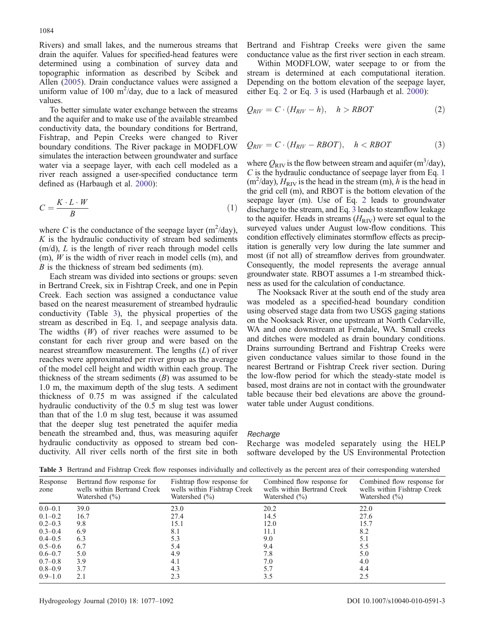<span id="page-7-0"></span>Rivers) and small lakes, and the numerous streams that drain the aquifer. Values for specified-head features were determined using a combination of survey data and topographic information as described by Scibek and Allen ([2005](#page-15-0)). Drain conductance values were assigned a uniform value of 100  $m^2$ /day, due to a lack of measured values.

To better simulate water exchange between the streams and the aquifer and to make use of the available streambed conductivity data, the boundary conditions for Bertrand, Fishtrap, and Pepin Creeks were changed to River boundary conditions. The River package in MODFLOW simulates the interaction between groundwater and surface water via a seepage layer, with each cell modeled as a river reach assigned a user-specified conductance term defined as (Harbaugh et al. [2000](#page-14-0)):

$$
C = \frac{K \cdot L \cdot W}{B} \tag{1}
$$

where C is the conductance of the seepage layer  $(m^2/day)$ ,  $K$  is the hydraulic conductivity of stream bed sediments  $(m/d)$ , L is the length of river reach through model cells  $(m)$ , W is the width of river reach in model cells  $(m)$ , and B is the thickness of stream bed sediments (m).

Each stream was divided into sections or groups: seven in Bertrand Creek, six in Fishtrap Creek, and one in Pepin Creek. Each section was assigned a conductance value based on the nearest measurement of streambed hydraulic conductivity (Table 3), the physical properties of the stream as described in Eq. 1, and seepage analysis data. The widths  $(W)$  of river reaches were assumed to be constant for each river group and were based on the nearest streamflow measurement. The lengths (L) of river reaches were approximated per river group as the average of the model cell height and width within each group. The thickness of the stream sediments  $(B)$  was assumed to be 1.0 m, the maximum depth of the slug tests. A sediment thickness of 0.75 m was assigned if the calculated hydraulic conductivity of the 0.5 m slug test was lower than that of the 1.0 m slug test, because it was assumed that the deeper slug test penetrated the aquifer media beneath the streambed and, thus, was measuring aquifer hydraulic conductivity as opposed to stream bed conductivity. All river cells north of the first site in both

Bertrand and Fishtrap Creeks were given the same conductance value as the first river section in each stream.

Within MODFLOW, water seepage to or from the stream is determined at each computational iteration. Depending on the bottom elevation of the seepage layer, either Eq. 2 or Eq. 3 is used (Harbaugh et al. [2000\)](#page-14-0):

$$
Q_{RIV} = C \cdot (H_{RIV} - h), \quad h > RBOT \tag{2}
$$

$$
Q_{RIV} = C \cdot (H_{RIV} - RBOT), \quad h < RBOT \tag{3}
$$

where  $Q_{\text{RIV}}$  is the flow between stream and aquifer (m<sup>3</sup>/day), C is the hydraulic conductance of seepage layer from Eq. 1  $(m^2$ /day),  $H_{\text{RIV}}$  is the head in the stream (m),  $\hbar$  is the head in the grid cell (m), and RBOT is the bottom elevation of the seepage layer (m). Use of Eq. 2 leads to groundwater discharge to the stream, and Eq. 3 leads to steamflow leakage to the aquifer. Heads in streams  $(H_{\text{RIV}})$  were set equal to the surveyed values under August low-flow conditions. This condition effectively eliminates stormflow effects as precipitation is generally very low during the late summer and most (if not all) of streamflow derives from groundwater. Consequently, the model represents the average annual groundwater state. RBOT assumes a 1-m streambed thickness as used for the calculation of conductance.

The Nooksack River at the south end of the study area was modeled as a specified-head boundary condition using observed stage data from two USGS gaging stations on the Nooksack River, one upstream at North Cedarville, WA and one downstream at Ferndale, WA. Small creeks and ditches were modeled as drain boundary conditions. Drains surrounding Bertrand and Fishtrap Creeks were given conductance values similar to those found in the nearest Bertrand or Fishtrap Creek river section. During the low-flow period for which the steady-state model is based, most drains are not in contact with the groundwater table because their bed elevations are above the groundwater table under August conditions.

**Recharge** 

Recharge was modeled separately using the HELP software developed by the US Environmental Protection

Table 3 Bertrand and Fishtrap Creek flow responses individually and collectively as the percent area of their corresponding watershed

| Response<br>zone | Bertrand flow response for<br>wells within Bertrand Creek<br>Watershed $(\% )$ | Fishtrap flow response for<br>wells within Fishtrap Creek<br>Watershed $(\% )$ | Combined flow response for<br>wells within Bertrand Creek<br>Watershed $(\% )$ | Combined flow response for<br>wells within Fishtrap Creek<br>Watershed $(\% )$ |
|------------------|--------------------------------------------------------------------------------|--------------------------------------------------------------------------------|--------------------------------------------------------------------------------|--------------------------------------------------------------------------------|
| $0.0 - 0.1$      | 39.0                                                                           | 23.0                                                                           | 20.2                                                                           | 22.0                                                                           |
| $0.1 - 0.2$      | 16.7                                                                           | 27.4                                                                           | 14.5                                                                           | 27.6                                                                           |
| $0.2 - 0.3$      | 9.8                                                                            | 15.1                                                                           | 12.0                                                                           | 15.7                                                                           |
| $0.3 - 0.4$      | 6.9                                                                            | 8.1                                                                            | 11.1                                                                           | 8.2                                                                            |
| $0.4 - 0.5$      | 6.3                                                                            | 5.3                                                                            | 9.0                                                                            | 5.1                                                                            |
| $0.5 - 0.6$      | 6.7                                                                            | 5.4                                                                            | 9.4                                                                            | 5.5                                                                            |
| $0.6 - 0.7$      | 5.0                                                                            | 4.9                                                                            | 7.8                                                                            | 5.0                                                                            |
| $0.7 - 0.8$      | 3.9                                                                            | 4.1                                                                            | 7.0                                                                            | 4.0                                                                            |
| $0.8 - 0.9$      | 3.7                                                                            | 4.3                                                                            | 5.7                                                                            | 4.4                                                                            |
| $0.9 - 1.0$      | 2.1                                                                            | 2.3                                                                            | 3.5                                                                            | 2.5                                                                            |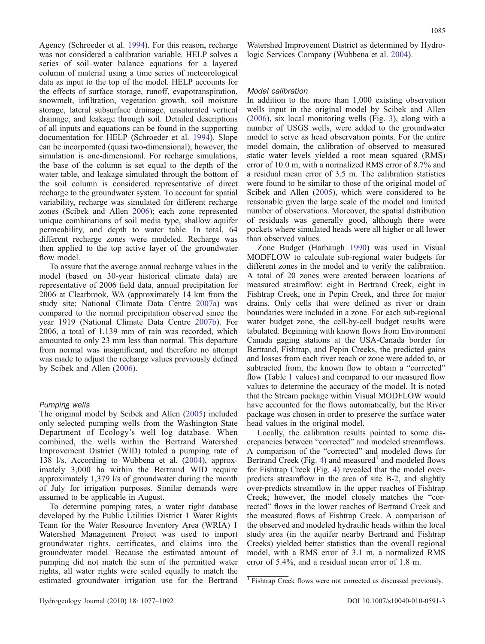Agency (Schroeder et al. [1994\)](#page-15-0). For this reason, recharge was not considered a calibration variable. HELP solves a series of soil–water balance equations for a layered column of material using a time series of meteorological data as input to the top of the model. HELP accounts for the effects of surface storage, runoff, evapotranspiration, snowmelt, infiltration, vegetation growth, soil moisture storage, lateral subsurface drainage, unsaturated vertical drainage, and leakage through soil. Detailed descriptions of all inputs and equations can be found in the supporting documentation for HELP (Schroeder et al. [1994\)](#page-15-0). Slope can be incorporated (quasi two-dimensional); however, the simulation is one-dimensional. For recharge simulations, the base of the column is set equal to the depth of the water table, and leakage simulated through the bottom of the soil column is considered representative of direct recharge to the groundwater system. To account for spatial variability, recharge was simulated for different recharge zones (Scibek and Allen [2006\)](#page-15-0); each zone represented unique combinations of soil media type, shallow aquifer permeability, and depth to water table. In total, 64 different recharge zones were modeled. Recharge was then applied to the top active layer of the groundwater flow model.

To assure that the average annual recharge values in the model (based on 30-year historical climate data) are representative of 2006 field data, annual precipitation for 2006 at Clearbrook, WA (approximately 14 km from the study site; National Climate Data Centre [2007a](#page-14-0)) was compared to the normal precipitation observed since the year 1919 (National Climate Data Centre [2007b\)](#page-14-0). For 2006, a total of 1,139 mm of rain was recorded, which amounted to only 23 mm less than normal. This departure from normal was insignificant, and therefore no attempt was made to adjust the recharge values previously defined by Scibek and Allen ([2006\)](#page-15-0).

## Pumping wells

The original model by Scibek and Allen [\(2005](#page-15-0)) included only selected pumping wells from the Washington State Department of Ecology's well log database. When combined, the wells within the Bertrand Watershed Improvement District (WID) totaled a pumping rate of 138 l/s. According to Wubbena et al. [\(2004](#page-15-0)), approximately 3,000 ha within the Bertrand WID require approximately 1,379 l/s of groundwater during the month of July for irrigation purposes. Similar demands were assumed to be applicable in August.

To determine pumping rates, a water right database developed by the Public Utilities District 1 Water Rights Team for the Water Resource Inventory Area (WRIA) 1 Watershed Management Project was used to import groundwater rights, certificates, and claims into the groundwater model. Because the estimated amount of pumping did not match the sum of the permitted water rights, all water rights were scaled equally to match the estimated groundwater irrigation use for the Bertrand

Watershed Improvement District as determined by Hydrologic Services Company (Wubbena et al. [2004](#page-15-0)).

#### Model calibration

In addition to the more than 1,000 existing observation wells input in the original model by Scibek and Allen ([2006\)](#page-15-0), six local monitoring wells (Fig. [3\)](#page-5-0), along with a number of USGS wells, were added to the groundwater model to serve as head observation points. For the entire model domain, the calibration of observed to measured static water levels yielded a root mean squared (RMS) error of 10.0 m, with a normalized RMS error of 8.7% and a residual mean error of 3.5 m. The calibration statistics were found to be similar to those of the original model of Scibek and Allen ([2005](#page-15-0)), which were considered to be reasonable given the large scale of the model and limited number of observations. Moreover, the spatial distribution of residuals was generally good, although there were pockets where simulated heads were all higher or all lower than observed values.

Zone Budget (Harbaugh [1990](#page-14-0)) was used in Visual MODFLOW to calculate sub-regional water budgets for different zones in the model and to verify the calibration. A total of 20 zones were created between locations of measured streamflow: eight in Bertrand Creek, eight in Fishtrap Creek, one in Pepin Creek, and three for major drains. Only cells that were defined as river or drain boundaries were included in a zone. For each sub-regional water budget zone, the cell-by-cell budget results were tabulated. Beginning with known flows from Environment Canada gaging stations at the USA-Canada border for Bertrand, Fishtrap, and Pepin Creeks, the predicted gains and losses from each river reach or zone were added to, or subtracted from, the known flow to obtain a "corrected" flow (Table [1](#page-5-0) values) and compared to our measured flow values to determine the accuracy of the model. It is noted that the Stream package within Visual MODFLOW would have accounted for the flows automatically, but the River package was chosen in order to preserve the surface water head values in the original model.

Locally, the calibration results pointed to some discrepancies between "corrected" and modeled streamflows. A comparison of the "corrected" and modeled flows for Bertrand Creek (Fig. [4\)](#page-9-0) and measured<sup>1</sup> and modeled flows for Fishtrap Creek (Fig. [4](#page-9-0)) revealed that the model overpredicts streamflow in the area of site B-2, and slightly over-predicts streamflow in the upper reaches of Fishtrap Creek; however, the model closely matches the "corrected" flows in the lower reaches of Bertrand Creek and the measured flows of Fishtrap Creek. A comparison of the observed and modeled hydraulic heads within the local study area (in the aquifer nearby Bertrand and Fishtrap Creeks) yielded better statistics than the overall regional model, with a RMS error of 3.1 m, a normalized RMS error of 5.4%, and a residual mean error of 1.8 m.

<sup>1</sup> Fishtrap Creek flows were not corrected as discussed previously.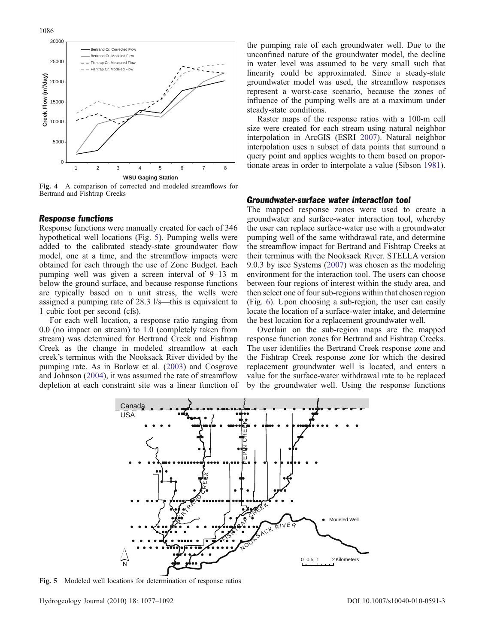<span id="page-9-0"></span>1086



Fig. 4 A comparison of corrected and modeled streamflows for Bertrand and Fishtrap Creeks

# Response functions

Response functions were manually created for each of 346 hypothetical well locations (Fig. 5). Pumping wells were added to the calibrated steady-state groundwater flow model, one at a time, and the streamflow impacts were obtained for each through the use of Zone Budget. Each pumping well was given a screen interval of 9–13 m below the ground surface, and because response functions are typically based on a unit stress, the wells were assigned a pumping rate of 28.3 l/s—this is equivalent to 1 cubic foot per second (cfs).

For each well location, a response ratio ranging from 0.0 (no impact on stream) to 1.0 (completely taken from stream) was determined for Bertrand Creek and Fishtrap Creek as the change in modeled streamflow at each creek's terminus with the Nooksack River divided by the pumping rate. As in Barlow et al. [\(2003](#page-14-0)) and Cosgrove and Johnson [\(2004](#page-14-0)), it was assumed the rate of streamflow depletion at each constraint site was a linear function of

the pumping rate of each groundwater well. Due to the unconfined nature of the groundwater model, the decline in water level was assumed to be very small such that linearity could be approximated. Since a steady-state groundwater model was used, the streamflow responses represent a worst-case scenario, because the zones of influence of the pumping wells are at a maximum under steady-state conditions.

Raster maps of the response ratios with a 100-m cell size were created for each stream using natural neighbor interpolation in ArcGIS (ESRI [2007](#page-14-0)). Natural neighbor interpolation uses a subset of data points that surround a query point and applies weights to them based on proportionate areas in order to interpolate a value (Sibson [1981](#page-15-0)).

# Groundwater-surface water interaction tool

The mapped response zones were used to create a groundwater and surface-water interaction tool, whereby the user can replace surface-water use with a groundwater pumping well of the same withdrawal rate, and determine the streamflow impact for Bertrand and Fishtrap Creeks at their terminus with the Nooksack River. STELLA version 9.0.3 by isee Systems [\(2007](#page-14-0)) was chosen as the modeling environment for the interaction tool. The users can choose between four regions of interest within the study area, and then select one of four sub-regions within that chosen region (Fig. [6\)](#page-10-0). Upon choosing a sub-region, the user can easily locate the location of a surface-water intake, and determine the best location for a replacement groundwater well.

Overlain on the sub-region maps are the mapped response function zones for Bertrand and Fishtrap Creeks. The user identifies the Bertrand Creek response zone and the Fishtrap Creek response zone for which the desired replacement groundwater well is located, and enters a value for the surface-water withdrawal rate to be replaced by the groundwater well. Using the response functions



Fig. 5 Modeled well locations for determination of response ratios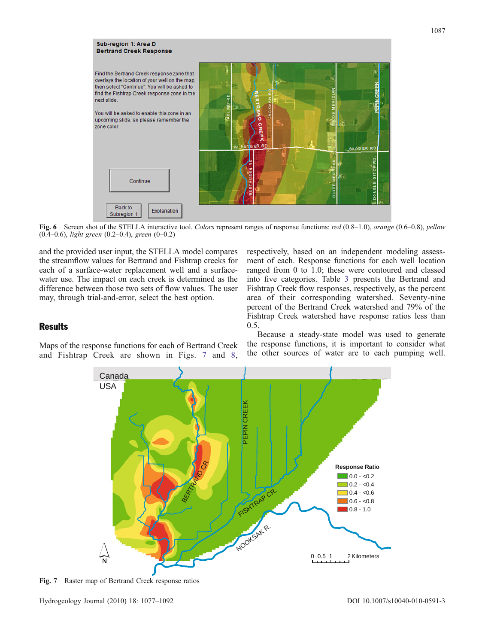<span id="page-10-0"></span>

Fig. 6 Screen shot of the STELLA interactive tool. Colors represent ranges of response functions: red (0.8–1.0), orange (0.6–0.8), yellow (0.4–0.6), light green (0.2–0.4), green (0–0.2)

and the provided user input, the STELLA model compares the streamflow values for Bertrand and Fishtrap creeks for each of a surface-water replacement well and a surfacewater use. The impact on each creek is determined as the difference between those two sets of flow values. The user may, through trial-and-error, select the best option.

respectively, based on an independent modeling assessment of each. Response functions for each well location ranged from 0 to 1.0; these were contoured and classed into five categories. Table [3](#page-7-0) presents the Bertrand and Fishtrap Creek flow responses, respectively, as the percent area of their corresponding watershed. Seventy-nine percent of the Bertrand Creek watershed and 79% of the Fishtrap Creek watershed have response ratios less than 0.5.

# **Results**

Maps of the response functions for each of Bertrand Creek and Fishtrap Creek are shown in Figs. 7 and [8](#page-11-0),

Because a steady-state model was used to generate the response functions, it is important to consider what the other sources of water are to each pumping well.



Fig. 7 Raster map of Bertrand Creek response ratios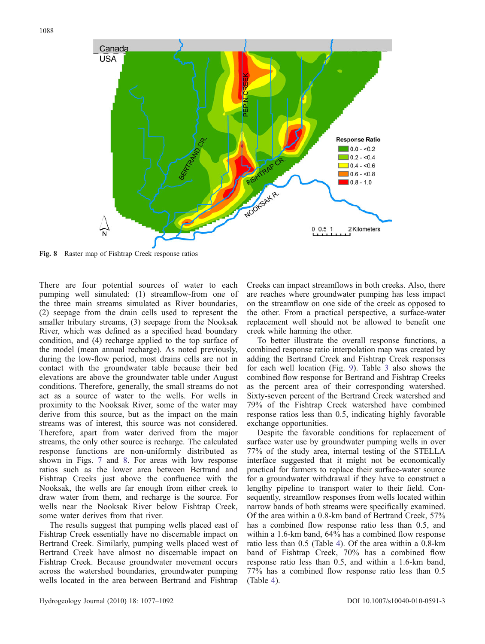<span id="page-11-0"></span>

Fig. 8 Raster map of Fishtrap Creek response ratios

There are four potential sources of water to each pumping well simulated: (1) streamflow-from one of the three main streams simulated as River boundaries, (2) seepage from the drain cells used to represent the smaller tributary streams, (3) seepage from the Nooksak River, which was defined as a specified head boundary condition, and (4) recharge applied to the top surface of the model (mean annual recharge). As noted previously, during the low-flow period, most drains cells are not in contact with the groundwater table because their bed elevations are above the groundwater table under August conditions. Therefore, generally, the small streams do not act as a source of water to the wells. For wells in proximity to the Nooksak River, some of the water may derive from this source, but as the impact on the main streams was of interest, this source was not considered. Therefore, apart from water derived from the major streams, the only other source is recharge. The calculated response functions are non-uniformly distributed as shown in Figs. [7](#page-10-0) and 8. For areas with low response ratios such as the lower area between Bertrand and Fishtrap Creeks just above the confluence with the Nooksak, the wells are far enough from either creek to draw water from them, and recharge is the source. For wells near the Nooksak River below Fishtrap Creek, some water derives from that river.

The results suggest that pumping wells placed east of Fishtrap Creek essentially have no discernable impact on Bertrand Creek. Similarly, pumping wells placed west of Bertrand Creek have almost no discernable impact on Fishtrap Creek. Because groundwater movement occurs across the watershed boundaries, groundwater pumping wells located in the area between Bertrand and Fishtrap

Creeks can impact streamflows in both creeks. Also, there are reaches where groundwater pumping has less impact on the streamflow on one side of the creek as opposed to the other. From a practical perspective, a surface-water replacement well should not be allowed to benefit one creek while harming the other.

To better illustrate the overall response functions, a combined response ratio interpolation map was created by adding the Bertrand Creek and Fishtrap Creek responses for each well location (Fig. [9](#page-12-0)). Table [3](#page-7-0) also shows the combined flow response for Bertrand and Fishtrap Creeks as the percent area of their corresponding watershed. Sixty-seven percent of the Bertrand Creek watershed and 79% of the Fishtrap Creek watershed have combined response ratios less than 0.5, indicating highly favorable exchange opportunities.

Despite the favorable conditions for replacement of surface water use by groundwater pumping wells in over 77% of the study area, internal testing of the STELLA interface suggested that it might not be economically practical for farmers to replace their surface-water source for a groundwater withdrawal if they have to construct a lengthy pipeline to transport water to their field. Consequently, streamflow responses from wells located within narrow bands of both streams were specifically examined. Of the area within a 0.8-km band of Bertrand Creek, 57% has a combined flow response ratio less than 0.5, and within a 1.6-km band, 64% has a combined flow response ratio less than 0.5 (Table [4](#page-12-0)). Of the area within a 0.8-km band of Fishtrap Creek, 70% has a combined flow response ratio less than 0.5, and within a 1.6-km band, 77% has a combined flow response ratio less than 0.5 (Table [4](#page-12-0)).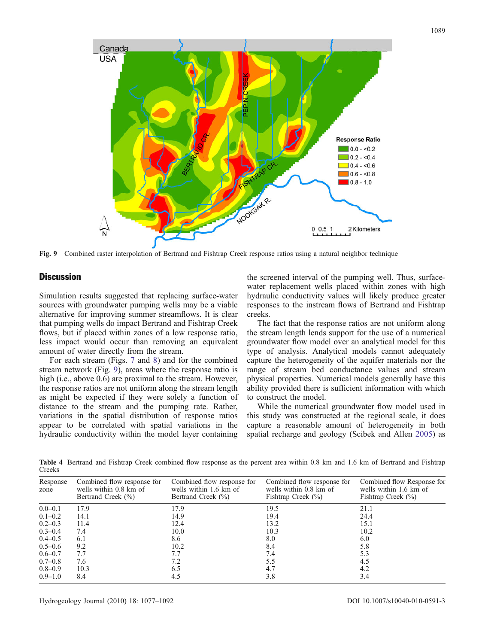<span id="page-12-0"></span>

Fig. 9 Combined raster interpolation of Bertrand and Fishtrap Creek response ratios using a natural neighbor technique

# **Discussion**

Simulation results suggested that replacing surface-water sources with groundwater pumping wells may be a viable alternative for improving summer streamflows. It is clear that pumping wells do impact Bertrand and Fishtrap Creek flows, but if placed within zones of a low response ratio, less impact would occur than removing an equivalent amount of water directly from the stream.

For each stream (Figs. [7](#page-10-0) and [8](#page-11-0)) and for the combined stream network (Fig. 9), areas where the response ratio is high (i.e., above 0.6) are proximal to the stream. However, the response ratios are not uniform along the stream length as might be expected if they were solely a function of distance to the stream and the pumping rate. Rather, variations in the spatial distribution of response ratios appear to be correlated with spatial variations in the hydraulic conductivity within the model layer containing

the screened interval of the pumping well. Thus, surfacewater replacement wells placed within zones with high hydraulic conductivity values will likely produce greater responses to the instream flows of Bertrand and Fishtrap creeks.

The fact that the response ratios are not uniform along the stream length lends support for the use of a numerical groundwater flow model over an analytical model for this type of analysis. Analytical models cannot adequately capture the heterogeneity of the aquifer materials nor the range of stream bed conductance values and stream physical properties. Numerical models generally have this ability provided there is sufficient information with which to construct the model.

While the numerical groundwater flow model used in this study was constructed at the regional scale, it does capture a reasonable amount of heterogeneity in both spatial recharge and geology (Scibek and Allen [2005](#page-15-0)) as

Table 4 Bertrand and Fishtrap Creek combined flow response as the percent area within 0.8 km and 1.6 km of Bertrand and Fishtrap Creeks

| Response<br>zone | Combined flow response for<br>wells within 0.8 km of<br>Bertrand Creek (%) | Combined flow response for<br>wells within 1.6 km of<br>Bertrand Creek (%) | Combined flow response for<br>wells within 0.8 km of<br>Fishtrap Creek $(\% )$ | Combined flow Response for<br>wells within 1.6 km of<br>Fishtrap Creek $(\% )$ |
|------------------|----------------------------------------------------------------------------|----------------------------------------------------------------------------|--------------------------------------------------------------------------------|--------------------------------------------------------------------------------|
| $0.0 - 0.1$      | 17.9                                                                       | 17.9                                                                       | 19.5                                                                           | 21.1                                                                           |
| $0.1 - 0.2$      | 14.1                                                                       | 14.9                                                                       | 19.4                                                                           | 24.4                                                                           |
| $0.2 - 0.3$      | 11.4                                                                       | 12.4                                                                       | 13.2                                                                           | 15.1                                                                           |
| $0.3 - 0.4$      | 7.4                                                                        | 10.0                                                                       | 10.3                                                                           | 10.2                                                                           |
| $0.4 - 0.5$      | 6.1                                                                        | 8.6                                                                        | 8.0                                                                            | 6.0                                                                            |
| $0.5 - 0.6$      | 9.2                                                                        | 10.2                                                                       | 8.4                                                                            | 5.8                                                                            |
| $0.6 - 0.7$      | 7.7                                                                        | 7.7                                                                        | 7.4                                                                            | 5.3                                                                            |
| $0.7 - 0.8$      | 7.6                                                                        | 7.2                                                                        | 5.5                                                                            | 4.5                                                                            |
| $0.8 - 0.9$      | 10.3                                                                       | 6.5                                                                        | 4.7                                                                            | 4.2                                                                            |
| $0.9 - 1.0$      | 8.4                                                                        | 4.5                                                                        | 3.8                                                                            | 3.4                                                                            |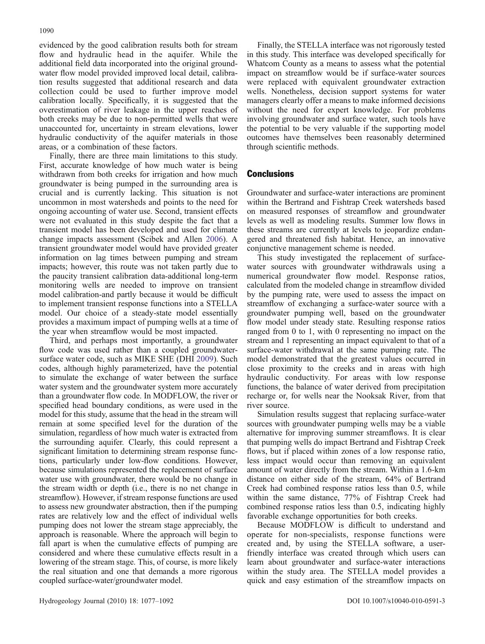evidenced by the good calibration results both for stream flow and hydraulic head in the aquifer. While the additional field data incorporated into the original groundwater flow model provided improved local detail, calibration results suggested that additional research and data collection could be used to further improve model calibration locally. Specifically, it is suggested that the overestimation of river leakage in the upper reaches of both creeks may be due to non-permitted wells that were unaccounted for, uncertainty in stream elevations, lower hydraulic conductivity of the aquifer materials in those areas, or a combination of these factors.

Finally, there are three main limitations to this study. First, accurate knowledge of how much water is being withdrawn from both creeks for irrigation and how much groundwater is being pumped in the surrounding area is crucial and is currently lacking. This situation is not uncommon in most watersheds and points to the need for ongoing accounting of water use. Second, transient effects were not evaluated in this study despite the fact that a transient model has been developed and used for climate change impacts assessment (Scibek and Allen [2006\)](#page-15-0). A transient groundwater model would have provided greater information on lag times between pumping and stream impacts; however, this route was not taken partly due to the paucity transient calibration data-additional long-term monitoring wells are needed to improve on transient model calibration-and partly because it would be difficult to implement transient response functions into a STELLA model. Our choice of a steady-state model essentially provides a maximum impact of pumping wells at a time of the year when streamflow would be most impacted.

Third, and perhaps most importantly, a groundwater flow code was used rather than a coupled groundwatersurface water code, such as MIKE SHE (DHI [2009](#page-14-0)). Such codes, although highly parameterized, have the potential to simulate the exchange of water between the surface water system and the groundwater system more accurately than a groundwater flow code. In MODFLOW, the river or specified head boundary conditions, as were used in the model for this study, assume that the head in the stream will remain at some specified level for the duration of the simulation, regardless of how much water is extracted from the surrounding aquifer. Clearly, this could represent a significant limitation to determining stream response functions, particularly under low-flow conditions. However, because simulations represented the replacement of surface water use with groundwater, there would be no change in the stream width or depth (i.e., there is no net change in streamflow). However, if stream response functions are used to assess new groundwater abstraction, then if the pumping rates are relatively low and the effect of individual wells pumping does not lower the stream stage appreciably, the approach is reasonable. Where the approach will begin to fall apart is when the cumulative effects of pumping are considered and where these cumulative effects result in a lowering of the stream stage. This, of course, is more likely the real situation and one that demands a more rigorous coupled surface-water/groundwater model.

Finally, the STELLA interface was not rigorously tested in this study. This interface was developed specifically for Whatcom County as a means to assess what the potential impact on streamflow would be if surface-water sources were replaced with equivalent groundwater extraction wells. Nonetheless, decision support systems for water managers clearly offer a means to make informed decisions without the need for expert knowledge. For problems involving groundwater and surface water, such tools have the potential to be very valuable if the supporting model outcomes have themselves been reasonably determined through scientific methods.

# **Conclusions**

Groundwater and surface-water interactions are prominent within the Bertrand and Fishtrap Creek watersheds based on measured responses of streamflow and groundwater levels as well as modeling results. Summer low flows in these streams are currently at levels to jeopardize endangered and threatened fish habitat. Hence, an innovative conjunctive management scheme is needed.

This study investigated the replacement of surfacewater sources with groundwater withdrawals using a numerical groundwater flow model. Response ratios, calculated from the modeled change in streamflow divided by the pumping rate, were used to assess the impact on streamflow of exchanging a surface-water source with a groundwater pumping well, based on the groundwater flow model under steady state. Resulting response ratios ranged from 0 to 1, with 0 representing no impact on the stream and 1 representing an impact equivalent to that of a surface-water withdrawal at the same pumping rate. The model demonstrated that the greatest values occurred in close proximity to the creeks and in areas with high hydraulic conductivity. For areas with low response functions, the balance of water derived from precipitation recharge or, for wells near the Nooksak River, from that river source.

Simulation results suggest that replacing surface-water sources with groundwater pumping wells may be a viable alternative for improving summer streamflows. It is clear that pumping wells do impact Bertrand and Fishtrap Creek flows, but if placed within zones of a low response ratio, less impact would occur than removing an equivalent amount of water directly from the stream. Within a 1.6-km distance on either side of the stream, 64% of Bertrand Creek had combined response ratios less than 0.5, while within the same distance, 77% of Fishtrap Creek had combined response ratios less than 0.5, indicating highly favorable exchange opportunities for both creeks.

Because MODFLOW is difficult to understand and operate for non-specialists, response functions were created and, by using the STELLA software, a userfriendly interface was created through which users can learn about groundwater and surface-water interactions within the study area. The STELLA model provides a quick and easy estimation of the streamflow impacts on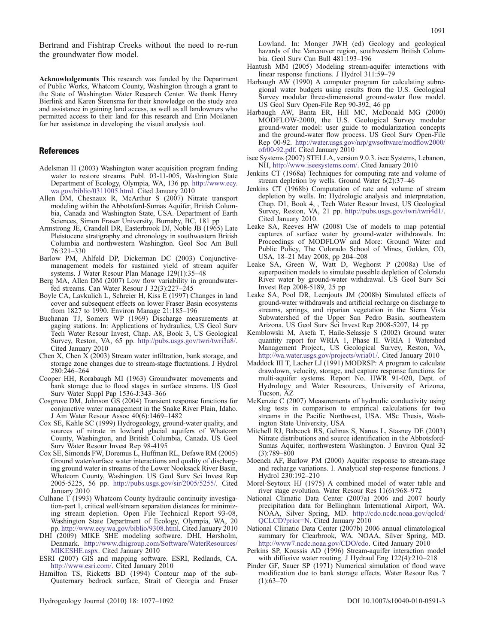<span id="page-14-0"></span>Bertrand and Fishtrap Creeks without the need to re-run the groundwater flow model.

Acknowledgements This research was funded by the Department of Public Works, Whatcom County, Washington through a grant to the State of Washington Water Research Center. We thank Henry Bierlink and Karen Steensma for their knowledge on the study area and assistance in gaining land access, as well as all landowners who permitted access to their land for this research and Erin Moilanen for her assistance in developing the visual analysis tool.

# **References**

- Adelsman H (2003) Washington water acquisition program finding water to restore streams. Publ. 03-11-005, Washington State Department of Ecology, Olympia, WA, 136 pp. [http://www.ecy.](http://www.ecy.wa.gov/biblio/0311005.html) [wa.gov/biblio/0311005.html.](http://www.ecy.wa.gov/biblio/0311005.html) Cited January 2010
- Allen DM, Chesnaux R, McArthur S (2007) Nitrate transport modeling within the Abbotsford-Sumas Aquifer, British Columbia, Canada and Washington State, USA. Department of Earth Sciences, Simon Fraser University, Burnaby, BC, 181 pp
- Armstrong JE, Crandell DR, Easterbrook DJ, Noble JB (1965) Late Pleistocene stratigraphy and chronology in southwestern British Columbia and northwestern Washington. Geol Soc Am Bull 76:321–330
- Barlow PM, Ahlfeld DP, Dickerman DC (2003) Conjunctivemanagement models for sustained yield of stream aquifer systems. J Water Resour Plan Manage 129(1):35–48
- Berg MA, Allen DM (2007) Low flow variability in groundwaterfed streams. Can Water Resour J 32(3):227–245
- Boyle CA, Lavkulich L, Schreier H, Kiss E (1997) Changes in land cover and subsequent effects on lower Fraser Basin ecosystems from 1827 to 1990. Environ Manage 21:185–196
- Buchanan TJ, Somers WP (1969) Discharge measurements at gaging stations. In: Applications of hydraulics, US Geol Surv Tech Water Resour Invest, Chap. A8, Book 3, US Geological Survey, Reston, VA, 65 pp. [http://pubs.usgs.gov/twri/twri3a8/.](http://pubs.usgs.gov/twri/twri3a8/) Cited January 2010
- Chen X, Chen X (2003) Stream water infiltration, bank storage, and storage zone changes due to stream-stage fluctuations. J Hydrol 280:246–264
- Cooper HH, Rorabaugh MI (1963) Groundwater movements and bank storage due to flood stages in surface streams. US Geol Surv Water Suppl Pap 1536-J:343–366
- Cosgrove DM, Johnson GS (2004) Transient response functions for conjunctive water management in the Snake River Plain, Idaho. J Am Water Resour Assoc 40(6):1469–1482
- Cox SE, Kahle SC (1999) Hydrogeology, ground-water quality, and sources of nitrate in lowland glacial aquifers of Whatcom County, Washington, and British Columbia, Canada. US Geol Surv Water Resour Invest Rep 98-4195
- Cox SE, Simonds FW, Doremus L, Huffman RL, Defawe RM (2005) Ground water/surface water interactions and quality of discharging ground water in streams of the Lower Nooksack River Basin, Whatcom County, Washington. US Geol Surv Sci Invest Rep 2005-5225, 56 pp. <http://pubs.usgs.gov/sir/2005/5255/>. Cited January 2010
- Culhane T (1993) Whatcom County hydraulic continuity investigation-part 1, critical well/stream separation distances for minimizing stream depletion. Open File Technical Report 93-08, Washington State Department of Ecology, Olympia, WA, 20 pp. [http://www.ecy.wa.gov/biblio/9308.html.](http://www.ecy.wa.gov/biblio/9308.html) Cited January 2010
- DHI (2009) MIKE SHE modeling software. DHI, Hørsholm, Denmark. [http://www.dhigroup.com/Software/WaterResources/](http://www.dhigroup.com/Software/WaterResources/MIKESHE.aspx) [MIKESHE.aspx](http://www.dhigroup.com/Software/WaterResources/MIKESHE.aspx). Cited January 2010
- ESRI (2007) GIS and mapping software. ESRI, Redlands, CA. <http://www.esri.com/>. Cited January 2010
- Hamilton TS, Ricketts BD (1994) Contour map of the sub-Quaternary bedrock surface, Strait of Georgia and Fraser

Hydrogeology Journal (2010) 18: 1077–1092 DOI 10.1007/s10040-010-0591-3

Lowland. In: Monger JWH (ed) Geology and geological hazards of the Vancouver region, southwestern British Columbia. Geol Surv Can Bull 481:193–196

- Hantush MM (2005) Modeling stream-aquifer interactions with linear response functions. J Hydrol 311:59–79
- Harbaugh AW (1990) A computer program for calculating subregional water budgets using results from the U.S. Geological Survey modular three-dimensional ground-water flow model. US Geol Surv Open-File Rep 90-392, 46 pp
- Harbaugh AW, Banta ER, Hill MC, McDonald MG (2000) MODFLOW-2000, the U.S. Geological Survey modular ground-water model: user guide to modularization concepts and the ground-water flow process. US Geol Surv Open-File Rep 00-92. [http://water.usgs.gov/nrp/gwsoftware/mod](http://water.usgs.gov/nrp/gwsoftware/modflow2000/ofr00-92.pdf)flow2000/ [ofr00-92.pdf](http://water.usgs.gov/nrp/gwsoftware/modflow2000/ofr00-92.pdf). Cited January 2010
- isee Systems (2007) STELLA, version 9.0.3. isee Systems, Lebanon, NH, [http://www.iseesystems.com/.](http://www.iseesystems.com/) Cited January 2010
- Jenkins CT (1968a) Techniques for computing rate and volume of stream depletion by wells. Ground Water 6(2):37–46
- Jenkins CT (1968b) Computation of rate and volume of stream depletion by wells. In: Hydrologic analysis and interpretation, Chap. D1, Book 4, , Tech Water Resour Invest, US Geological Survey, Reston, VA, 21 pp. [http://pubs.usgs.gov/twri/twri4d1/.](http://pubs.usgs.gov/twri/twri4d1/) Cited January 2010.
- Leake SA, Reeves HW (2008) Use of models to map potential captures of surface water by ground-water withdrawals. In: Proceedings of MODFLOW and More: Ground Water and Public Policy, The Colorado School of Mines, Golden, CO, USA, 18–21 May 2008, pp 204–208
- Leake SA, Green W, Watt D, Weghorst P (2008a) Use of superposition models to simulate possible depletion of Colorado River water by ground-water withdrawal. US Geol Surv Sci Invest Rep 2008-5189, 25 pp
- Leake SA, Pool DR, Leenjouts JM (2008b) Simulated effects of ground-water withdrawals and artificial recharge on discharge to streams, springs, and riparian vegetation in the Sierra Vista Subwatershed of the Upper San Pedro Basin, southeastern Arizona. US Geol Surv Sci Invest Rep 2008-5207, 14 pp
- Kemblowski M, Asefa T, Haile-Selassje S (2002) Ground water quantity report for WRIA 1, Phase II. WRIA 1 Watershed Management Project., US Geological Survey, Reston, VA, <http://wa.water.usgs.gov/projects/wria01/>. Cited January 2010
- Maddock III T, Lacher LJ (1991) MODRSP: A program to calculate drawdown, velocity, storage, and capture response functions for multi-aquifer systems. Report No. HWR 91-020, Dept. of Hydrology and Water Resources, University of Arizona, Tucson, AZ
- McKenzie C (2007) Measurements of hydraulic conductivity using slug tests in comparison to empirical calculations for two streams in the Pacific Northwest, USA. MSc Thesis, Washington State University, USA
- Mitchell RJ, Babcock RS, Gelinas S, Nanus L, Stasney DE (2003) Nitrate distributions and source identification in the Abbotsford-Sumas Aquifer, northwestern Washington. J Environ Qual 32  $(3):789-800$
- Moench AF, Barlow PM (2000) Aquifer response to stream-stage and recharge variations. I. Analytical step-response functions. J Hydrol 230:192–210
- Morel-Seytoux HJ (1975) A combined model of water table and river stage evolution. Water Resour Res 11(6):968–972
- National Climatic Data Center (2007a) 2006 and 2007 hourly precipitation data for Bellingham International Airport, WA. NOAA, Silver Spring, MD. [http://cdo.ncdc.noaa.gov/qclcd/](http://cdo.ncdc.noaa.gov/qclcd/QCLCD?prior=N) [QCLCD?prior=N](http://cdo.ncdc.noaa.gov/qclcd/QCLCD?prior=N). Cited January 2010
- National Climatic Data Center (2007b) 2006 annual climatological summary for Clearbrook, WA. NOAA, Silver Spring, MD. [http://www7.ncdc.noaa.gov/CDO/cdo.](http://www7.ncdc.noaa.gov/CDO/cdo) Cited January 2010
- Perkins SP, Koussis AD (1996) Stream-aquifer interaction model with diffusive water routing. J Hydraul Eng 122(4):210–218
- Pinder GF, Sauer SP (1971) Numerical simulation of flood wave modification due to bank storage effects. Water Resour Res 7  $(1):63-70$